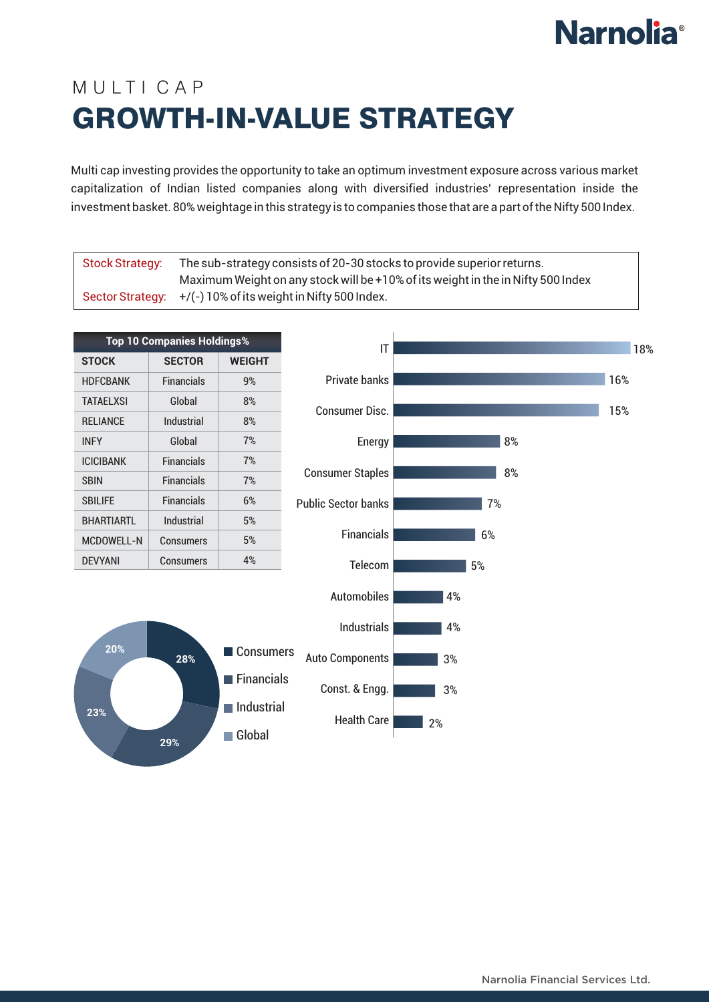## **Narnolia**<sup>®</sup>

## MUITICAP GROWTH-IN-VALUE STRATEGY

Multi cap investing provides the opportunity to take an optimum investment exposure across various market capitalization of Indian listed companies along with diversified industries' representation inside the investment basket. 80% weightage in this strategy is to companies those that are a part of the Nifty 500 Index.

| <b>Stock Strategy:</b>            |                   |                                     |                                             | The sub-strategy consists of 20-30 stocks to provide superior returns.           |     |
|-----------------------------------|-------------------|-------------------------------------|---------------------------------------------|----------------------------------------------------------------------------------|-----|
| <b>Sector Strategy:</b>           |                   |                                     | +/(-) 10% of its weight in Nifty 500 Index. | Maximum Weight on any stock will be +10% of its weight in the in Nifty 500 Index |     |
|                                   |                   |                                     |                                             |                                                                                  |     |
| <b>Top 10 Companies Holdings%</b> |                   |                                     | IT                                          |                                                                                  | 18% |
| <b>STOCK</b>                      | <b>SECTOR</b>     | <b>WEIGHT</b>                       |                                             |                                                                                  |     |
| <b>HDFCBANK</b>                   | <b>Financials</b> | 9%                                  | <b>Private banks</b>                        |                                                                                  | 16% |
| <b>TATAELXSI</b>                  | Global            | $8\%$                               | <b>Consumer Disc.</b>                       |                                                                                  | 15% |
| <b>RELIANCE</b>                   | Industrial        | 8%                                  |                                             |                                                                                  |     |
| <b>INFY</b>                       | Global            | 7%                                  | Energy                                      | 8%                                                                               |     |
| <b>ICICIBANK</b>                  | <b>Financials</b> | 7%                                  | <b>Consumer Staples</b>                     | 8%                                                                               |     |
| <b>SBIN</b>                       | <b>Financials</b> | 7%                                  |                                             |                                                                                  |     |
| <b>SBILIFE</b>                    | <b>Financials</b> | 6%                                  | <b>Public Sector banks</b>                  | 7%                                                                               |     |
| <b>BHARTIARTL</b>                 | Industrial        | 5%                                  |                                             |                                                                                  |     |
| <b>MCDOWELL-N</b>                 | <b>Consumers</b>  | 5%                                  | <b>Financials</b>                           | 6%                                                                               |     |
| <b>DEVYANI</b>                    | <b>Consumers</b>  | 4%                                  | Telecom                                     | 5%                                                                               |     |
|                                   |                   |                                     | <b>Automobiles</b>                          | 4%                                                                               |     |
|                                   |                   |                                     |                                             |                                                                                  |     |
|                                   |                   |                                     | <b>Industrials</b>                          | 4%                                                                               |     |
| 20%                               | 28%               | ■ Consumers                         | <b>Auto Components</b>                      | 3%                                                                               |     |
|                                   |                   | Financials                          | Const. & Engg.                              | 3%                                                                               |     |
| 23%                               |                   | $\blacksquare$ Industrial<br>Global | Health Care                                 | 2%                                                                               |     |
|                                   | 29%               |                                     |                                             |                                                                                  |     |